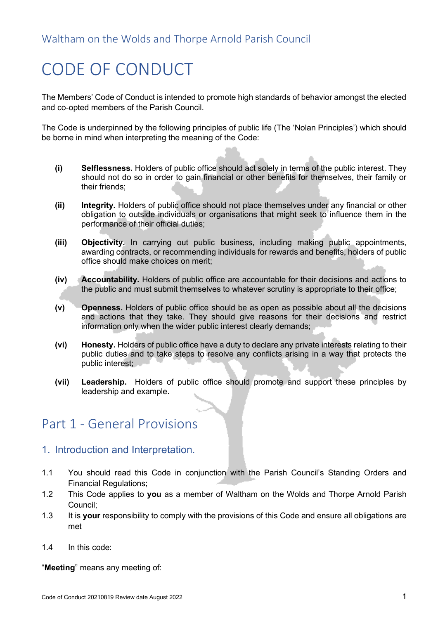# CODE OF CONDUCT

The Members' Code of Conduct is intended to promote high standards of behavior amongst the elected and co-opted members of the Parish Council.

The Code is underpinned by the following principles of public life (The 'Nolan Principles') which should be borne in mind when interpreting the meaning of the Code:

- **(i) Selflessness.** Holders of public office should act solely in terms of the public interest. They should not do so in order to gain financial or other benefits for themselves, their family or their friends;
- **(ii) Integrity.** Holders of public office should not place themselves under any financial or other obligation to outside individuals or organisations that might seek to influence them in the performance of their official duties;
- **(iii) Objectivity.** In carrying out public business, including making public appointments, awarding contracts, or recommending individuals for rewards and benefits, holders of public office should make choices on merit;
- **(iv) Accountability.** Holders of public office are accountable for their decisions and actions to the public and must submit themselves to whatever scrutiny is appropriate to their office;
- **(v) Openness.** Holders of public office should be as open as possible about all the decisions and actions that they take. They should give reasons for their decisions and restrict information only when the wider public interest clearly demands;
- **(vi) Honesty.** Holders of public office have a duty to declare any private interests relating to their public duties and to take steps to resolve any conflicts arising in a way that protects the public interest;
- **(vii) Leadership.** Holders of public office should promote and support these principles by leadership and example.

## Part 1 - General Provisions

#### 1. Introduction and Interpretation.

- 1.1 You should read this Code in conjunction with the Parish Council's Standing Orders and Financial Regulations;
- 1.2 This Code applies to **you** as a member of Waltham on the Wolds and Thorpe Arnold Parish Council;
- 1.3 It is **your** responsibility to comply with the provisions of this Code and ensure all obligations are met
- 1.4 In this code:

"**Meeting**" means any meeting of: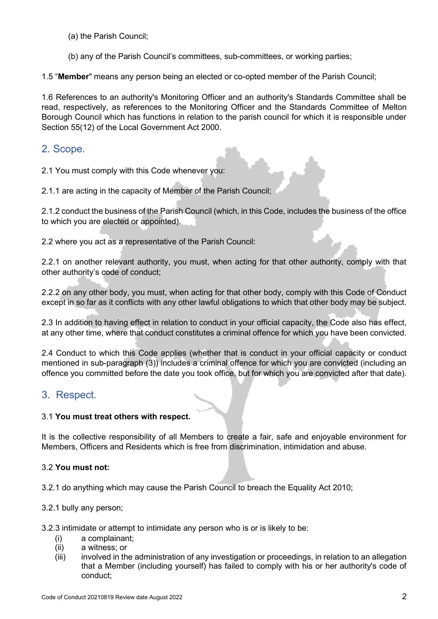- (a) the Parish Council;
- (b) any of the Parish Council's committees, sub-committees, or working parties;

1.5 "**Member**" means any person being an elected or co-opted member of the Parish Council;

1.6 References to an authority's Monitoring Officer and an authority's Standards Committee shall be read, respectively, as references to the Monitoring Officer and the Standards Committee of Melton Borough Council which has functions in relation to the parish council for which it is responsible under Section 55(12) of the Local Government Act 2000.

#### 2. Scope.

2.1 You must comply with this Code whenever you:

2.1.1 are acting in the capacity of Member of the Parish Council;

2.1.2 conduct the business of the Parish Council (which, in this Code, includes the business of the office to which you are elected or appointed).

2.2 where you act as a representative of the Parish Council:

2.2.1 on another relevant authority, you must, when acting for that other authority, comply with that other authority's code of conduct;

2.2.2 on any other body, you must, when acting for that other body, comply with this Code of Conduct except in so far as it conflicts with any other lawful obligations to which that other body may be subject.

2.3 In addition to having effect in relation to conduct in your official capacity, the Code also has effect, at any other time, where that conduct constitutes a criminal offence for which you have been convicted.

2.4 Conduct to which this Code applies (whether that is conduct in your official capacity or conduct mentioned in sub-paragraph (3)) includes a criminal offence for which you are convicted (including an offence you committed before the date you took office, but for which you are convicted after that date).

### 3. Respect.

#### 3.1 **You must treat others with respect.**

It is the collective responsibility of all Members to create a fair, safe and enjoyable environment for Members, Officers and Residents which is free from discrimination, intimidation and abuse.

#### 3.2 **You must not:**

3.2.1 do anything which may cause the Parish Council to breach the Equality Act 2010;

#### 3.2.1 bully any person;

3.2.3 intimidate or attempt to intimidate any person who is or is likely to be:

- (i) a complainant;
- (ii) a witness; or
- (iii) involved in the administration of any investigation or proceedings, in relation to an allegation that a Member (including yourself) has failed to comply with his or her authority's code of conduct;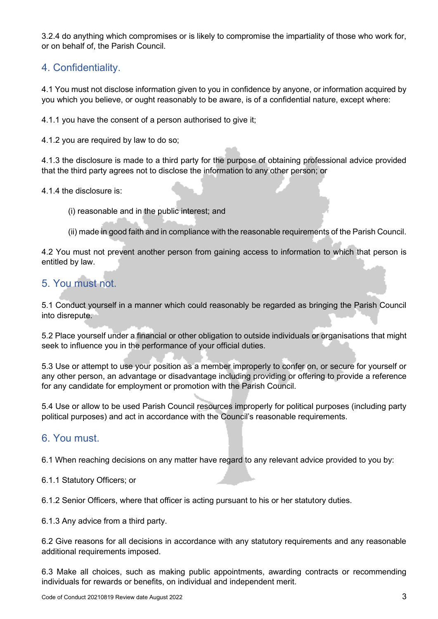3.2.4 do anything which compromises or is likely to compromise the impartiality of those who work for, or on behalf of, the Parish Council.

## 4. Confidentiality.

4.1 You must not disclose information given to you in confidence by anyone, or information acquired by you which you believe, or ought reasonably to be aware, is of a confidential nature, except where:

4.1.1 you have the consent of a person authorised to give it;

4.1.2 you are required by law to do so;

4.1.3 the disclosure is made to a third party for the purpose of obtaining professional advice provided that the third party agrees not to disclose the information to any other person; or

4.1.4 the disclosure is:

- (i) reasonable and in the public interest; and
- (ii) made in good faith and in compliance with the reasonable requirements of the Parish Council.

4.2 You must not prevent another person from gaining access to information to which that person is entitled by law.

## 5. You must not.

5.1 Conduct yourself in a manner which could reasonably be regarded as bringing the Parish Council into disrepute.

5.2 Place yourself under a financial or other obligation to outside individuals or organisations that might seek to influence you in the performance of your official duties.

5.3 Use or attempt to use your position as a member improperly to confer on, or secure for yourself or any other person, an advantage or disadvantage including providing or offering to provide a reference for any candidate for employment or promotion with the Parish Council.

5.4 Use or allow to be used Parish Council resources improperly for political purposes (including party political purposes) and act in accordance with the Council's reasonable requirements.

#### 6. You must.

6.1 When reaching decisions on any matter have regard to any relevant advice provided to you by:

6.1.1 Statutory Officers; or

6.1.2 Senior Officers, where that officer is acting pursuant to his or her statutory duties.

6.1.3 Any advice from a third party.

6.2 Give reasons for all decisions in accordance with any statutory requirements and any reasonable additional requirements imposed.

6.3 Make all choices, such as making public appointments, awarding contracts or recommending individuals for rewards or benefits, on individual and independent merit.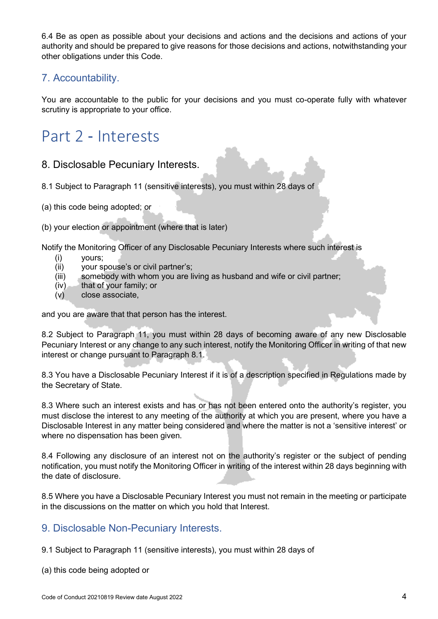6.4 Be as open as possible about your decisions and actions and the decisions and actions of your authority and should be prepared to give reasons for those decisions and actions, notwithstanding your other obligations under this Code.

### 7. Accountability.

You are accountable to the public for your decisions and you must co-operate fully with whatever scrutiny is appropriate to your office.

## Part 2 ‐ Interests

#### 8. Disclosable Pecuniary Interests.

- 8.1 Subject to Paragraph 11 (sensitive interests), you must within 28 days of
- (a) this code being adopted; or
- (b) your election or appointment (where that is later)

Notify the Monitoring Officer of any Disclosable Pecuniary Interests where such interest is

- (i) yours;
- (ii) your spouse's or civil partner's;
- (iii) somebody with whom you are living as husband and wife or civil partner;
- $(iv)$  that of your family; or
- (v) close associate,

and you are aware that that person has the interest.

8.2 Subject to Paragraph 11, you must within 28 days of becoming aware of any new Disclosable Pecuniary Interest or any change to any such interest, notify the Monitoring Officer in writing of that new interest or change pursuant to Paragraph 8.1.

8.3 You have a Disclosable Pecuniary Interest if it is of a description specified in Regulations made by the Secretary of State.

8.3 Where such an interest exists and has or has not been entered onto the authority's register, you must disclose the interest to any meeting of the authority at which you are present, where you have a Disclosable Interest in any matter being considered and where the matter is not a 'sensitive interest' or where no dispensation has been given.

8.4 Following any disclosure of an interest not on the authority's register or the subject of pending notification, you must notify the Monitoring Officer in writing of the interest within 28 days beginning with the date of disclosure.

8.5 Where you have a Disclosable Pecuniary Interest you must not remain in the meeting or participate in the discussions on the matter on which you hold that Interest.

#### 9. Disclosable Non-Pecuniary Interests.

- 9.1 Subject to Paragraph 11 (sensitive interests), you must within 28 days of
- (a) this code being adopted or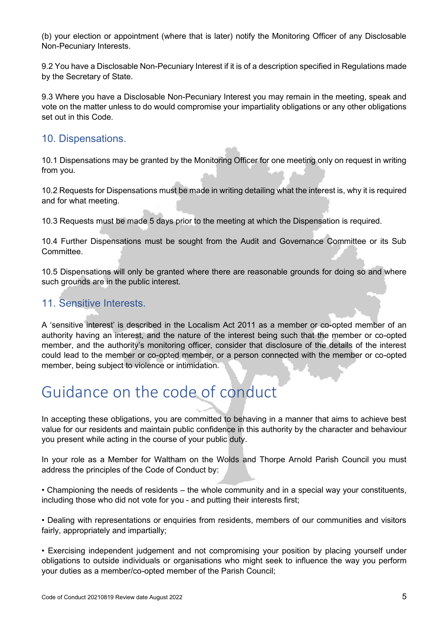(b) your election or appointment (where that is later) notify the Monitoring Officer of any Disclosable Non-Pecuniary Interests.

9.2 You have a Disclosable Non-Pecuniary Interest if it is of a description specified in Regulations made by the Secretary of State.

9.3 Where you have a Disclosable Non-Pecuniary Interest you may remain in the meeting, speak and vote on the matter unless to do would compromise your impartiality obligations or any other obligations set out in this Code.

#### 10. Dispensations.

10.1 Dispensations may be granted by the Monitoring Officer for one meeting only on request in writing from you.

10.2 Requests for Dispensations must be made in writing detailing what the interest is, why it is required and for what meeting.

10.3 Requests must be made 5 days prior to the meeting at which the Dispensation is required.

10.4 Further Dispensations must be sought from the Audit and Governance Committee or its Sub Committee.

10.5 Dispensations will only be granted where there are reasonable grounds for doing so and where such grounds are in the public interest.

## 11. Sensitive Interests

A 'sensitive interest' is described in the Localism Act 2011 as a member or co-opted member of an authority having an interest, and the nature of the interest being such that the member or co-opted member, and the authority's monitoring officer, consider that disclosure of the details of the interest could lead to the member or co-opted member, or a person connected with the member or co-opted member, being subject to violence or intimidation.

## Guidance on the code of conduct

In accepting these obligations, you are committed to behaving in a manner that aims to achieve best value for our residents and maintain public confidence in this authority by the character and behaviour you present while acting in the course of your public duty.

In your role as a Member for Waltham on the Wolds and Thorpe Arnold Parish Council you must address the principles of the Code of Conduct by:

• Championing the needs of residents – the whole community and in a special way your constituents, including those who did not vote for you - and putting their interests first;

• Dealing with representations or enquiries from residents, members of our communities and visitors fairly, appropriately and impartially;

• Exercising independent judgement and not compromising your position by placing yourself under obligations to outside individuals or organisations who might seek to influence the way you perform your duties as a member/co-opted member of the Parish Council;